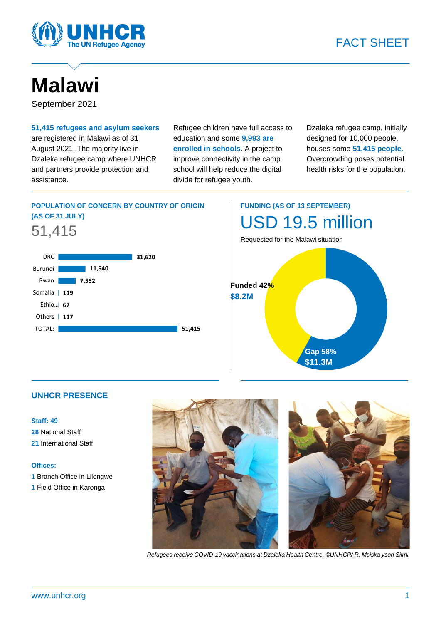



# **Malawi**

September 2021

### **51,415 refugees and asylum seekers** are registered in Malawi as of 31 August 2021. The majority live in Dzaleka refugee camp where UNHCR and partners provide protection and assistance.

Refugee children have full access to education and some **9,993 are enrolled in schools**. A project to improve connectivity in the camp school will help reduce the digital divide for refugee youth.

Dzaleka refugee camp, initially designed for 10,000 people, houses some **51,415 people.** Overcrowding poses potential health risks for the population.

# **POPULATION OF CONCERN BY COUNTRY OF ORIGIN (AS OF 31 JULY)**





# **FUNDING (AS OF 13 SEPTEMBER)** USD 19.5 million

Requested for the Malawi situation



## **UNHCR PRESENCE**

#### **Staff: 49**

**28** National Staff **21** International Staff

#### **Offices:**

- **1** Branch Office in Lilongwe
- **1** Field Office in Karonga





*Refugees receive COVID-19 vaccinations at Dzaleka Health Centre. ©UNHCR/ R. Msiska yson Siima*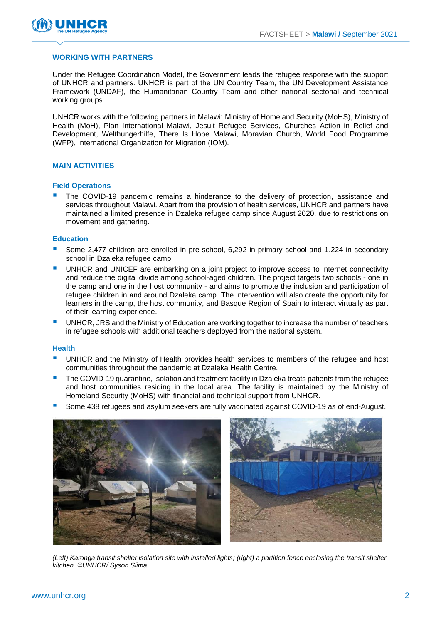

#### **WORKING WITH PARTNERS**

Under the Refugee Coordination Model, the Government leads the refugee response with the support of UNHCR and partners. UNHCR is part of the UN Country Team, the UN Development Assistance Framework (UNDAF), the Humanitarian Country Team and other national sectorial and technical working groups.

UNHCR works with the following partners in Malawi: Ministry of Homeland Security (MoHS), Ministry of Health (MoH), Plan International Malawi, Jesuit Refugee Services, Churches Action in Relief and Development, Welthungerhilfe, There Is Hope Malawi, Moravian Church, World Food Programme (WFP), International Organization for Migration (IOM).

#### **MAIN ACTIVITIES**

#### **Field Operations**

The COVID-19 pandemic remains a hinderance to the delivery of protection, assistance and services throughout Malawi. Apart from the provision of health services, UNHCR and partners have maintained a limited presence in Dzaleka refugee camp since August 2020, due to restrictions on movement and gathering.

#### **Education**

- Some 2,477 children are enrolled in pre-school, 6,292 in primary school and 1,224 in secondary school in Dzaleka refugee camp.
- UNHCR and UNICEF are embarking on a joint project to improve access to internet connectivity and reduce the digital divide among school-aged children. The project targets two schools - one in the camp and one in the host community - and aims to promote the inclusion and participation of refugee children in and around Dzaleka camp. The intervention will also create the opportunity for learners in the camp, the host community, and Basque Region of Spain to interact virtually as part of their learning experience.
- UNHCR, JRS and the Ministry of Education are working together to increase the number of teachers in refugee schools with additional teachers deployed from the national system.

#### **Health**

- UNHCR and the Ministry of Health provides health services to members of the refugee and host communities throughout the pandemic at Dzaleka Health Centre.
- The COVID-19 quarantine, isolation and treatment facility in Dzaleka treats patients from the refugee and host communities residing in the local area. The facility is maintained by the Ministry of Homeland Security (MoHS) with financial and technical support from UNHCR.
- Some 438 refugees and asylum seekers are fully vaccinated against COVID-19 as of end-August.



*(Left) Karonga transit shelter isolation site with installed lights; (right) a partition fence enclosing the transit shelter kitchen. ©UNHCR/ Syson Siima*